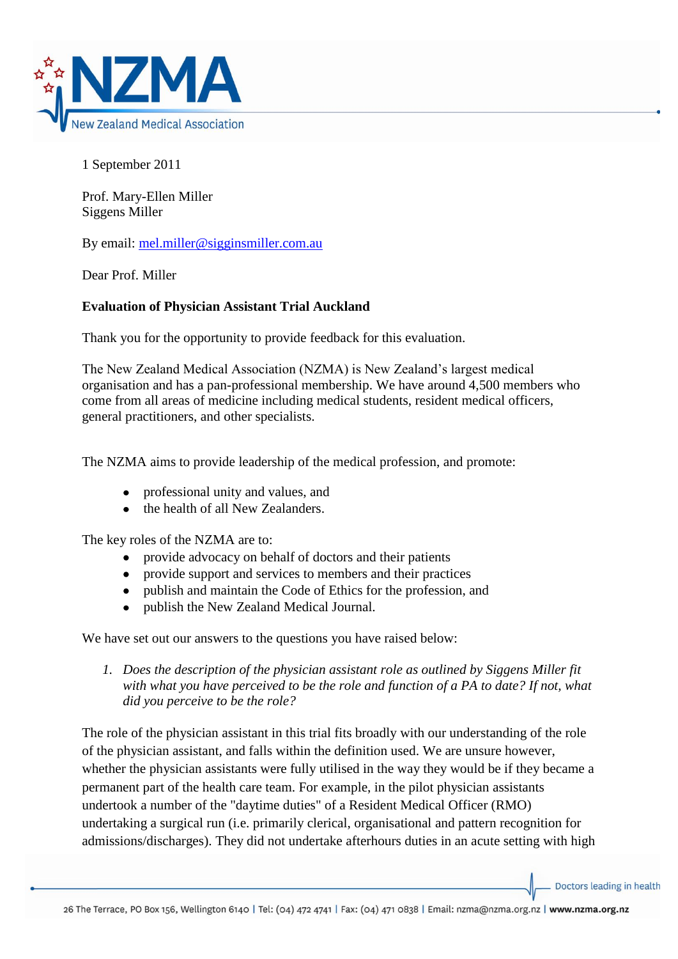

1 September 2011

Prof. Mary-Ellen Miller Siggens Miller

By email: [mel.miller@sigginsmiller.com.au](mailto:mel.miller@sigginsmiller.com.au)

Dear Prof. Miller

## **Evaluation of Physician Assistant Trial Auckland**

Thank you for the opportunity to provide feedback for this evaluation.

The New Zealand Medical Association (NZMA) is New Zealand's largest medical organisation and has a pan-professional membership. We have around 4,500 members who come from all areas of medicine including medical students, resident medical officers, general practitioners, and other specialists.

The NZMA aims to provide leadership of the medical profession, and promote:

- professional unity and values, and
- the health of all New Zealanders.

The key roles of the NZMA are to:

- provide advocacy on behalf of doctors and their patients  $\bullet$
- provide support and services to members and their practices
- publish and maintain the Code of Ethics for the profession, and
- publish the New Zealand Medical Journal.

We have set out our answers to the questions you have raised below:

*1. Does the description of the physician assistant role as outlined by Siggens Miller fit with what you have perceived to be the role and function of a PA to date? If not, what did you perceive to be the role?* 

The role of the physician assistant in this trial fits broadly with our understanding of the role of the physician assistant, and falls within the definition used. We are unsure however, whether the physician assistants were fully utilised in the way they would be if they became a permanent part of the health care team. For example, in the pilot physician assistants undertook a number of the "daytime duties" of a Resident Medical Officer (RMO) undertaking a surgical run (i.e. primarily clerical, organisational and pattern recognition for admissions/discharges). They did not undertake afterhours duties in an acute setting with high

Doctors leading in health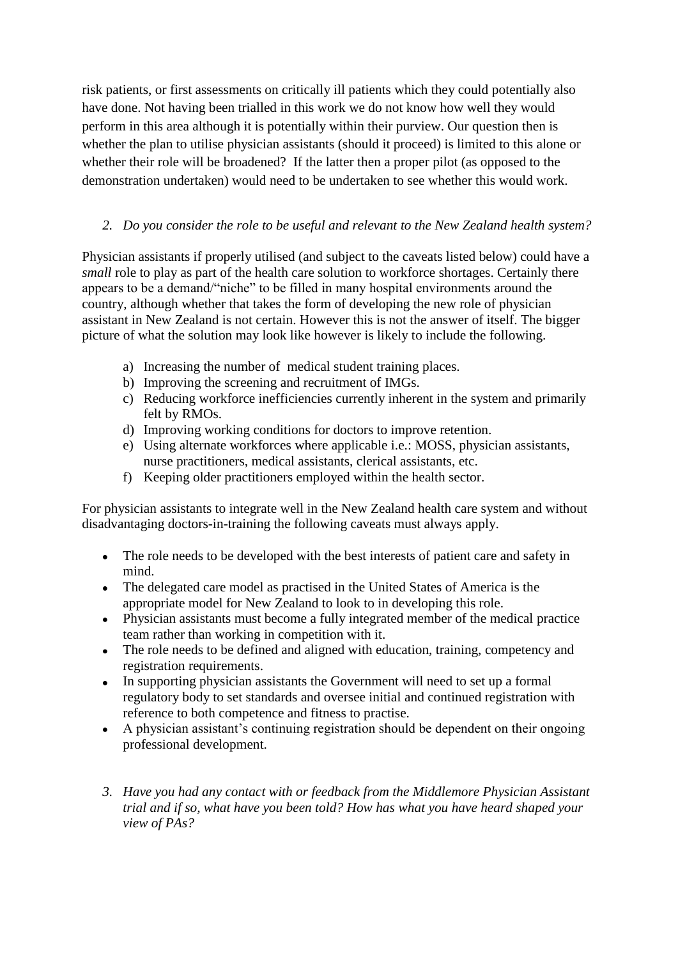risk patients, or first assessments on critically ill patients which they could potentially also have done. Not having been trialled in this work we do not know how well they would perform in this area although it is potentially within their purview. Our question then is whether the plan to utilise physician assistants (should it proceed) is limited to this alone or whether their role will be broadened? If the latter then a proper pilot (as opposed to the demonstration undertaken) would need to be undertaken to see whether this would work.

## *2. Do you consider the role to be useful and relevant to the New Zealand health system?*

Physician assistants if properly utilised (and subject to the caveats listed below) could have a *small* role to play as part of the health care solution to workforce shortages. Certainly there appears to be a demand/"niche" to be filled in many hospital environments around the country, although whether that takes the form of developing the new role of physician assistant in New Zealand is not certain. However this is not the answer of itself. The bigger picture of what the solution may look like however is likely to include the following.

- a) Increasing the number of medical student training places.
- b) Improving the screening and recruitment of IMGs.
- c) Reducing workforce inefficiencies currently inherent in the system and primarily felt by RMOs.
- d) Improving working conditions for doctors to improve retention.
- e) Using alternate workforces where applicable i.e.: MOSS, physician assistants, nurse practitioners, medical assistants, clerical assistants, etc.
- f) Keeping older practitioners employed within the health sector.

For physician assistants to integrate well in the New Zealand health care system and without disadvantaging doctors-in-training the following caveats must always apply.

- The role needs to be developed with the best interests of patient care and safety in mind.
- The delegated care model as practised in the United States of America is the appropriate model for New Zealand to look to in developing this role.
- Physician assistants must become a fully integrated member of the medical practice team rather than working in competition with it.
- The role needs to be defined and aligned with education, training, competency and registration requirements.
- In supporting physician assistants the Government will need to set up a formal regulatory body to set standards and oversee initial and continued registration with reference to both competence and fitness to practise.
- A physician assistant's continuing registration should be dependent on their ongoing  $\bullet$ professional development.
- *3. Have you had any contact with or feedback from the Middlemore Physician Assistant trial and if so, what have you been told? How has what you have heard shaped your view of PAs?*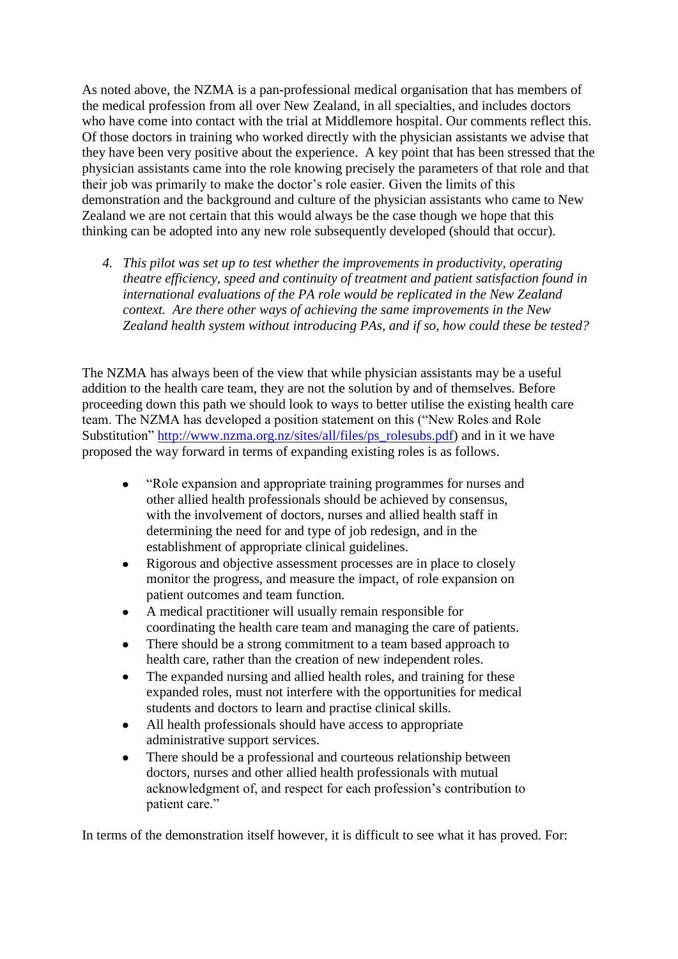As noted above, the NZMA is a pan-professional medical organisation that has members of the medical profession from all over New Zealand, in all specialties, and includes doctors who have come into contact with the trial at Middlemore hospital. Our comments reflect this. Of those doctors in training who worked directly with the physician assistants we advise that they have been very positive about the experience. A key point that has been stressed that the physician assistants came into the role knowing precisely the parameters of that role and that their job was primarily to make the doctor's role easier. Given the limits of this demonstration and the background and culture of the physician assistants who came to New Zealand we are not certain that this would always be the case though we hope that this thinking can be adopted into any new role subsequently developed (should that occur).

*4. This pilot was set up to test whether the improvements in productivity, operating theatre efficiency, speed and continuity of treatment and patient satisfaction found in international evaluations of the PA role would be replicated in the New Zealand context. Are there other ways of achieving the same improvements in the New Zealand health system without introducing PAs, and if so, how could these be tested?*

The NZMA has always been of the view that while physician assistants may be a useful addition to the health care team, they are not the solution by and of themselves. Before proceeding down this path we should look to ways to better utilise the existing health care team. The NZMA has developed a position statement on this ("New Roles and Role Substitution" [http://www.nzma.org.nz/sites/all/files/ps\\_rolesubs.pdf\)](http://www.nzma.org.nz/sites/all/files/ps_rolesubs.pdf) and in it we have proposed the way forward in terms of expanding existing roles is as follows.

- "Role expansion and appropriate training programmes for nurses and other allied health professionals should be achieved by consensus, with the involvement of doctors, nurses and allied health staff in determining the need for and type of job redesign, and in the establishment of appropriate clinical guidelines.
- Rigorous and objective assessment processes are in place to closely monitor the progress, and measure the impact, of role expansion on patient outcomes and team function.
- A medical practitioner will usually remain responsible for coordinating the health care team and managing the care of patients.
- $\bullet$ There should be a strong commitment to a team based approach to health care, rather than the creation of new independent roles.
- The expanded nursing and allied health roles, and training for these expanded roles, must not interfere with the opportunities for medical students and doctors to learn and practise clinical skills.
- All health professionals should have access to appropriate administrative support services.
- There should be a professional and courteous relationship between doctors, nurses and other allied health professionals with mutual acknowledgment of, and respect for each profession's contribution to patient care."

In terms of the demonstration itself however, it is difficult to see what it has proved. For: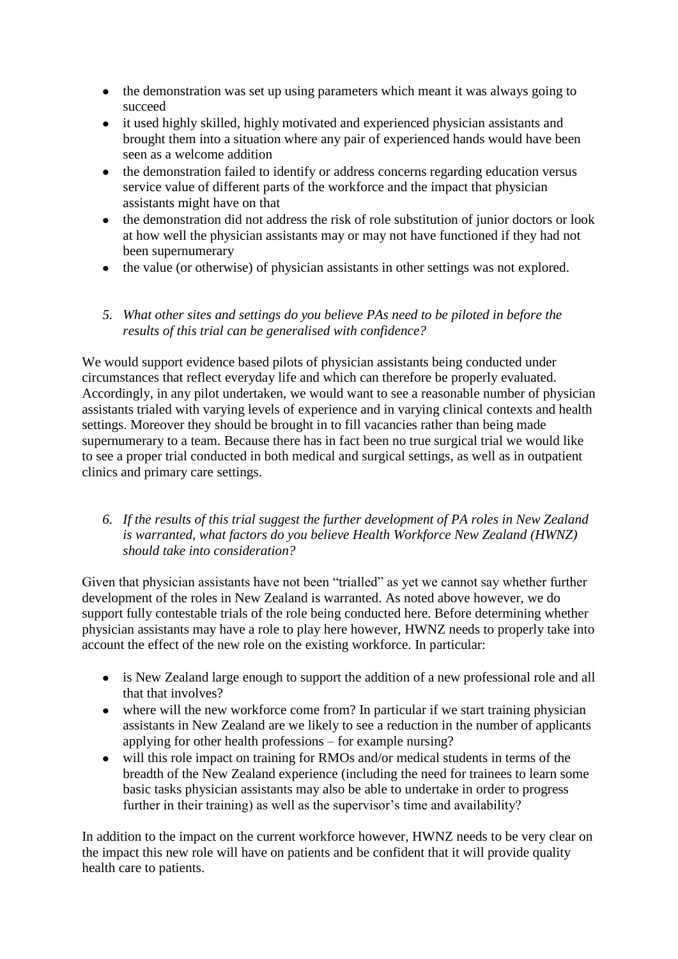- the demonstration was set up using parameters which meant it was always going to succeed
- $\bullet$ it used highly skilled, highly motivated and experienced physician assistants and brought them into a situation where any pair of experienced hands would have been seen as a welcome addition
- the demonstration failed to identify or address concerns regarding education versus service value of different parts of the workforce and the impact that physician assistants might have on that
- the demonstration did not address the risk of role substitution of junior doctors or look  $\bullet$ at how well the physician assistants may or may not have functioned if they had not been supernumerary
- the value (or otherwise) of physician assistants in other settings was not explored.
- *5. What other sites and settings do you believe PAs need to be piloted in before the results of this trial can be generalised with confidence?*

We would support evidence based pilots of physician assistants being conducted under circumstances that reflect everyday life and which can therefore be properly evaluated. Accordingly, in any pilot undertaken, we would want to see a reasonable number of physician assistants trialed with varying levels of experience and in varying clinical contexts and health settings. Moreover they should be brought in to fill vacancies rather than being made supernumerary to a team. Because there has in fact been no true surgical trial we would like to see a proper trial conducted in both medical and surgical settings, as well as in outpatient clinics and primary care settings.

*6. If the results of this trial suggest the further development of PA roles in New Zealand is warranted, what factors do you believe Health Workforce New Zealand (HWNZ) should take into consideration?* 

Given that physician assistants have not been "trialled" as yet we cannot say whether further development of the roles in New Zealand is warranted. As noted above however, we do support fully contestable trials of the role being conducted here. Before determining whether physician assistants may have a role to play here however, HWNZ needs to properly take into account the effect of the new role on the existing workforce. In particular:

- is New Zealand large enough to support the addition of a new professional role and all that that involves?
- $\bullet$ where will the new workforce come from? In particular if we start training physician assistants in New Zealand are we likely to see a reduction in the number of applicants applying for other health professions – for example nursing?
- will this role impact on training for RMOs and/or medical students in terms of the  $\bullet$ breadth of the New Zealand experience (including the need for trainees to learn some basic tasks physician assistants may also be able to undertake in order to progress further in their training) as well as the supervisor's time and availability?

In addition to the impact on the current workforce however, HWNZ needs to be very clear on the impact this new role will have on patients and be confident that it will provide quality health care to patients.